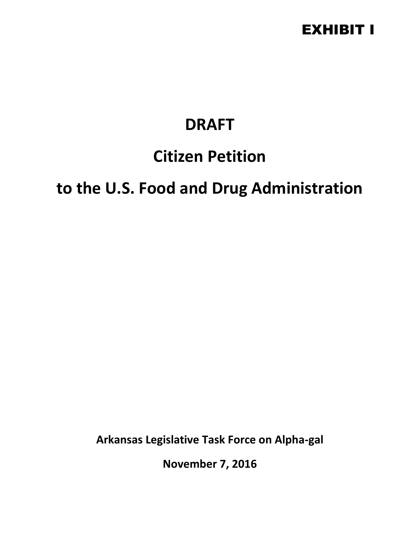### EXHIBIT I

# **DRAFT**

# **Citizen Petition**

# **to the U.S. Food and Drug Administration**

**Arkansas Legislative Task Force on Alpha-gal**

**November 7, 2016**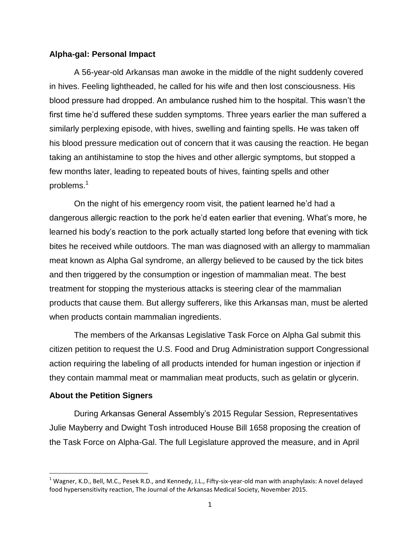#### **Alpha-gal: Personal Impact**

A 56-year-old Arkansas man awoke in the middle of the night suddenly covered in hives. Feeling lightheaded, he called for his wife and then lost consciousness. His blood pressure had dropped. An ambulance rushed him to the hospital. This wasn't the first time he'd suffered these sudden symptoms. Three years earlier the man suffered a similarly perplexing episode, with hives, swelling and fainting spells. He was taken off his blood pressure medication out of concern that it was causing the reaction. He began taking an antihistamine to stop the hives and other allergic symptoms, but stopped a few months later, leading to repeated bouts of hives, fainting spells and other problems.<sup>1</sup>

On the night of his emergency room visit, the patient learned he'd had a dangerous allergic reaction to the pork he'd eaten earlier that evening. What's more, he learned his body's reaction to the pork actually started long before that evening with tick bites he received while outdoors. The man was diagnosed with an allergy to mammalian meat known as Alpha Gal syndrome, an allergy believed to be caused by the tick bites and then triggered by the consumption or ingestion of mammalian meat. The best treatment for stopping the mysterious attacks is steering clear of the mammalian products that cause them. But allergy sufferers, like this Arkansas man, must be alerted when products contain mammalian ingredients.

The members of the Arkansas Legislative Task Force on Alpha Gal submit this citizen petition to request the U.S. Food and Drug Administration support Congressional action requiring the labeling of all products intended for human ingestion or injection if they contain mammal meat or mammalian meat products, such as gelatin or glycerin.

#### **About the Petition Signers**

l

During Arkansas General Assembly's 2015 Regular Session, Representatives Julie Mayberry and Dwight Tosh introduced House Bill 1658 proposing the creation of the Task Force on Alpha-Gal. The full Legislature approved the measure, and in April

 $1$  Wagner, K.D., Bell, M.C., Pesek R.D., and Kennedy, J.L., Fifty-six-year-old man with anaphylaxis: A novel delayed food hypersensitivity reaction, The Journal of the Arkansas Medical Society, November 2015.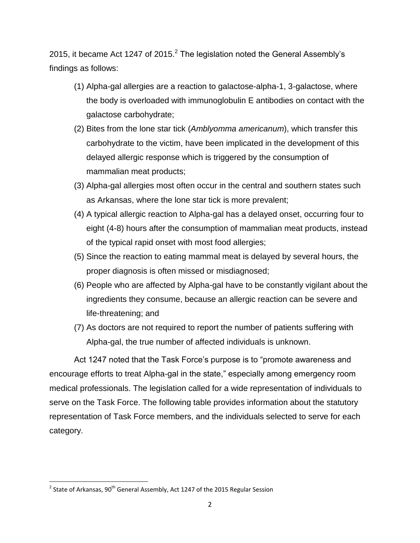2015, it became Act 1247 of 2015. $^2$  The legislation noted the General Assembly's findings as follows:

- (1) Alpha-gal allergies are a reaction to galactose-alpha-1, 3-galactose, where the body is overloaded with immunoglobulin E antibodies on contact with the galactose carbohydrate;
- (2) Bites from the lone star tick (*Amblyomma americanum*), which transfer this carbohydrate to the victim, have been implicated in the development of this delayed allergic response which is triggered by the consumption of mammalian meat products;
- (3) Alpha-gal allergies most often occur in the central and southern states such as Arkansas, where the lone star tick is more prevalent;
- (4) A typical allergic reaction to Alpha-gal has a delayed onset, occurring four to eight (4-8) hours after the consumption of mammalian meat products, instead of the typical rapid onset with most food allergies;
- (5) Since the reaction to eating mammal meat is delayed by several hours, the proper diagnosis is often missed or misdiagnosed;
- (6) People who are affected by Alpha-gal have to be constantly vigilant about the ingredients they consume, because an allergic reaction can be severe and life-threatening; and
- (7) As doctors are not required to report the number of patients suffering with Alpha-gal, the true number of affected individuals is unknown.

Act 1247 noted that the Task Force's purpose is to "promote awareness and encourage efforts to treat Alpha-gal in the state," especially among emergency room medical professionals. The legislation called for a wide representation of individuals to serve on the Task Force. The following table provides information about the statutory representation of Task Force members, and the individuals selected to serve for each category.

 $\overline{\phantom{a}}$ 

 $^{2}$  State of Arkansas, 90<sup>th</sup> General Assembly, Act 1247 of the 2015 Regular Session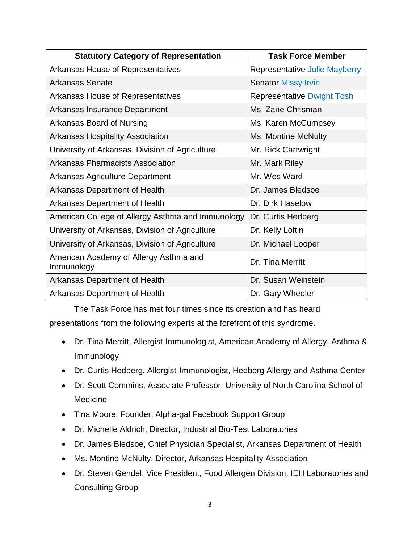| <b>Statutory Category of Representation</b>          | <b>Task Force Member</b>          |
|------------------------------------------------------|-----------------------------------|
| Arkansas House of Representatives                    | Representative Julie Mayberry     |
| Arkansas Senate                                      | <b>Senator Missy Irvin</b>        |
| Arkansas House of Representatives                    | <b>Representative Dwight Tosh</b> |
| Arkansas Insurance Department                        | Ms. Zane Chrisman                 |
| Arkansas Board of Nursing                            | Ms. Karen McCumpsey               |
| <b>Arkansas Hospitality Association</b>              | Ms. Montine McNulty               |
| University of Arkansas, Division of Agriculture      | Mr. Rick Cartwright               |
| <b>Arkansas Pharmacists Association</b>              | Mr. Mark Riley                    |
| <b>Arkansas Agriculture Department</b>               | Mr. Wes Ward                      |
| Arkansas Department of Health                        | Dr. James Bledsoe                 |
| Arkansas Department of Health                        | Dr. Dirk Haselow                  |
| American College of Allergy Asthma and Immunology    | Dr. Curtis Hedberg                |
| University of Arkansas, Division of Agriculture      | Dr. Kelly Loftin                  |
| University of Arkansas, Division of Agriculture      | Dr. Michael Looper                |
| American Academy of Allergy Asthma and<br>Immunology | Dr. Tina Merritt                  |
| Arkansas Department of Health                        | Dr. Susan Weinstein               |
| Arkansas Department of Health                        | Dr. Gary Wheeler                  |

The Task Force has met four times since its creation and has heard

presentations from the following experts at the forefront of this syndrome.

- Dr. Tina Merritt, Allergist-Immunologist, American Academy of Allergy, Asthma & Immunology
- Dr. Curtis Hedberg, Allergist-Immunologist, Hedberg Allergy and Asthma Center
- Dr. Scott Commins, Associate Professor, University of North Carolina School of Medicine
- Tina Moore, Founder, Alpha-gal Facebook Support Group
- Dr. Michelle Aldrich, Director, Industrial Bio-Test Laboratories
- Dr. James Bledsoe, Chief Physician Specialist, Arkansas Department of Health
- Ms. Montine McNulty, Director, Arkansas Hospitality Association
- Dr. Steven Gendel, Vice President, Food Allergen Division, IEH Laboratories and Consulting Group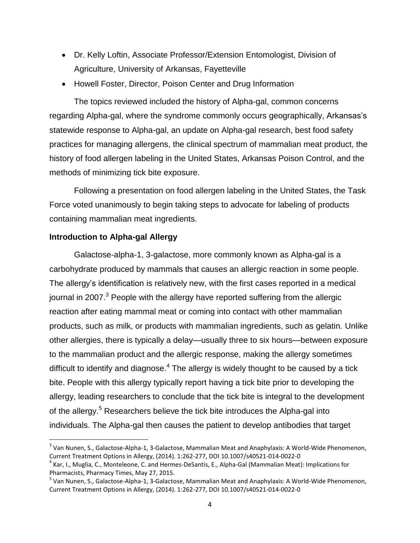- Dr. Kelly Loftin, Associate Professor/Extension Entomologist, Division of Agriculture, University of Arkansas, Fayetteville
- Howell Foster, Director, Poison Center and Drug Information

The topics reviewed included the history of Alpha-gal, common concerns regarding Alpha-gal, where the syndrome commonly occurs geographically, Arkansas's statewide response to Alpha-gal, an update on Alpha-gal research, best food safety practices for managing allergens, the clinical spectrum of mammalian meat product, the history of food allergen labeling in the United States, Arkansas Poison Control, and the methods of minimizing tick bite exposure.

Following a presentation on food allergen labeling in the United States, the Task Force voted unanimously to begin taking steps to advocate for labeling of products containing mammalian meat ingredients.

#### **Introduction to Alpha-gal Allergy**

 $\overline{a}$ 

Galactose-alpha-1, 3-galactose, more commonly known as Alpha-gal is a carbohydrate produced by mammals that causes an allergic reaction in some people. The allergy's identification is relatively new, with the first cases reported in a medical journal in 2007. $3$  People with the allergy have reported suffering from the allergic reaction after eating mammal meat or coming into contact with other mammalian products, such as milk, or products with mammalian ingredients, such as gelatin. Unlike other allergies, there is typically a delay—usually three to six hours—between exposure to the mammalian product and the allergic response, making the allergy sometimes difficult to identify and diagnose. $^4$  The allergy is widely thought to be caused by a tick bite. People with this allergy typically report having a tick bite prior to developing the allergy, leading researchers to conclude that the tick bite is integral to the development of the allergy.<sup>5</sup> Researchers believe the tick bite introduces the Alpha-gal into individuals. The Alpha-gal then causes the patient to develop antibodies that target

<sup>&</sup>lt;sup>3</sup> Van Nunen, S., Galactose-Alpha-1, 3-Galactose, Mammalian Meat and Anaphylaxis: A World-Wide Phenomenon, Current Treatment Options in Allergy, (2014). 1:262-277, DOI 10.1007/s40521-014-0022-0

<sup>&</sup>lt;sup>4</sup> Kar, I., Muglia, C., Monteleone, C. and Hermes-DeSantis, E., Alpha-Gal (Mammalian Meat): Implications for Pharmacists, Pharmacy Times, May 27, 2015.

<sup>&</sup>lt;sup>5</sup> Van Nunen, S., Galactose-Alpha-1, 3-Galactose, Mammalian Meat and Anaphylaxis: A World-Wide Phenomenon, Current Treatment Options in Allergy, (2014). 1:262-277, DOI 10.1007/s40521-014-0022-0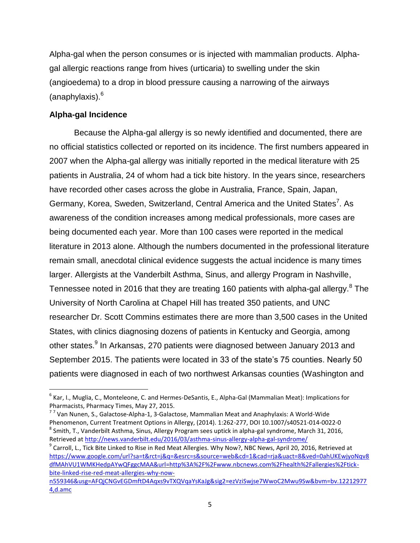Alpha-gal when the person consumes or is injected with mammalian products. Alphagal allergic reactions range from hives (urticaria) to swelling under the skin (angioedema) to a drop in blood pressure causing a narrowing of the airways (anaphylaxis).<sup>6</sup>

#### **Alpha-gal Incidence**

 $\overline{\phantom{a}}$ 

Because the Alpha-gal allergy is so newly identified and documented, there are no official statistics collected or reported on its incidence. The first numbers appeared in 2007 when the Alpha-gal allergy was initially reported in the medical literature with 25 patients in Australia, 24 of whom had a tick bite history. In the years since, researchers have recorded other cases across the globe in Australia, France, Spain, Japan, Germany, Korea, Sweden, Switzerland, Central America and the United States<sup>7</sup>. As awareness of the condition increases among medical professionals, more cases are being documented each year. More than 100 cases were reported in the medical literature in 2013 alone. Although the numbers documented in the professional literature remain small, anecdotal clinical evidence suggests the actual incidence is many times larger. Allergists at the Vanderbilt Asthma, Sinus, and allergy Program in Nashville, Tennessee noted in 2016 that they are treating 160 patients with alpha-gal allergy. $^8$  The University of North Carolina at Chapel Hill has treated 350 patients, and UNC researcher Dr. Scott Commins estimates there are more than 3,500 cases in the United States, with clinics diagnosing dozens of patients in Kentucky and Georgia, among other states.<sup>9</sup> In Arkansas, 270 patients were diagnosed between January 2013 and September 2015. The patients were located in 33 of the state's 75 counties. Nearly 50 patients were diagnosed in each of two northwest Arkansas counties (Washington and

<sup>6</sup> Kar, I., Muglia, C., Monteleone, C. and Hermes-DeSantis, E., Alpha-Gal (Mammalian Meat): Implications for Pharmacists, Pharmacy Times, May 27, 2015.

<sup>&</sup>lt;sup>77</sup> Van Nunen, S., Galactose-Alpha-1, 3-Galactose, Mammalian Meat and Anaphylaxis: A World-Wide Phenomenon, Current Treatment Options in Allergy, (2014). 1:262-277, DOI 10.1007/s40521-014-0022-0  $^8$  Smith, T., Vanderbilt Asthma, Sinus, Allergy Program sees uptick in alpha-gal syndrome, March 31, 2016, Retrieved at<http://news.vanderbilt.edu/2016/03/asthma-sinus-allergy-alpha-gal-syndrome/>

<sup>&</sup>lt;sup>9</sup> Carroll, L., Tick Bite Linked to Rise in Red Meat Allergies. Why Now?, NBC News, April 20, 2016, Retrieved at [https://www.google.com/url?sa=t&rct=j&q=&esrc=s&source=web&cd=1&cad=rja&uact=8&ved=0ahUKEwjyoNqv8](https://www.google.com/url?sa=t&rct=j&q=&esrc=s&source=web&cd=1&cad=rja&uact=8&ved=0ahUKEwjyoNqv8dfMAhVU1WMKHedpAYwQFggcMAA&url=http%3A%2F%2Fwww.nbcnews.com%2Fhealth%2Fallergies%2Ftick-bite-linked-rise-red-meat-allergies-why-now-n559346&usg=AFQjCNGvEGDmftD4Aqxs9vTXQVqaYsKaJg&sig2=ezVziSwjse7WwoC2Mwu9Sw&bvm=bv.122129774,d.amc) [dfMAhVU1WMKHedpAYwQFggcMAA&url=http%3A%2F%2Fwww.nbcnews.com%2Fhealth%2Fallergies%2Ftick](https://www.google.com/url?sa=t&rct=j&q=&esrc=s&source=web&cd=1&cad=rja&uact=8&ved=0ahUKEwjyoNqv8dfMAhVU1WMKHedpAYwQFggcMAA&url=http%3A%2F%2Fwww.nbcnews.com%2Fhealth%2Fallergies%2Ftick-bite-linked-rise-red-meat-allergies-why-now-n559346&usg=AFQjCNGvEGDmftD4Aqxs9vTXQVqaYsKaJg&sig2=ezVziSwjse7WwoC2Mwu9Sw&bvm=bv.122129774,d.amc)[bite-linked-rise-red-meat-allergies-why-now-](https://www.google.com/url?sa=t&rct=j&q=&esrc=s&source=web&cd=1&cad=rja&uact=8&ved=0ahUKEwjyoNqv8dfMAhVU1WMKHedpAYwQFggcMAA&url=http%3A%2F%2Fwww.nbcnews.com%2Fhealth%2Fallergies%2Ftick-bite-linked-rise-red-meat-allergies-why-now-n559346&usg=AFQjCNGvEGDmftD4Aqxs9vTXQVqaYsKaJg&sig2=ezVziSwjse7WwoC2Mwu9Sw&bvm=bv.122129774,d.amc)

[n559346&usg=AFQjCNGvEGDmftD4Aqxs9vTXQVqaYsKaJg&sig2=ezVziSwjse7WwoC2Mwu9Sw&bvm=bv.12212977](https://www.google.com/url?sa=t&rct=j&q=&esrc=s&source=web&cd=1&cad=rja&uact=8&ved=0ahUKEwjyoNqv8dfMAhVU1WMKHedpAYwQFggcMAA&url=http%3A%2F%2Fwww.nbcnews.com%2Fhealth%2Fallergies%2Ftick-bite-linked-rise-red-meat-allergies-why-now-n559346&usg=AFQjCNGvEGDmftD4Aqxs9vTXQVqaYsKaJg&sig2=ezVziSwjse7WwoC2Mwu9Sw&bvm=bv.122129774,d.amc) [4,d.amc](https://www.google.com/url?sa=t&rct=j&q=&esrc=s&source=web&cd=1&cad=rja&uact=8&ved=0ahUKEwjyoNqv8dfMAhVU1WMKHedpAYwQFggcMAA&url=http%3A%2F%2Fwww.nbcnews.com%2Fhealth%2Fallergies%2Ftick-bite-linked-rise-red-meat-allergies-why-now-n559346&usg=AFQjCNGvEGDmftD4Aqxs9vTXQVqaYsKaJg&sig2=ezVziSwjse7WwoC2Mwu9Sw&bvm=bv.122129774,d.amc)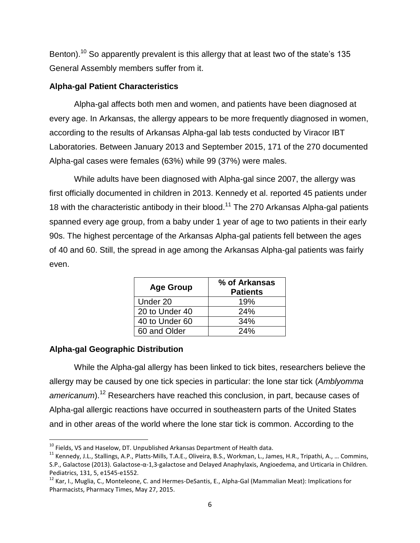Benton).<sup>10</sup> So apparently prevalent is this allergy that at least two of the state's 135 General Assembly members suffer from it.

#### **Alpha-gal Patient Characteristics**

Alpha-gal affects both men and women, and patients have been diagnosed at every age. In Arkansas, the allergy appears to be more frequently diagnosed in women, according to the results of Arkansas Alpha-gal lab tests conducted by Viracor IBT Laboratories. Between January 2013 and September 2015, 171 of the 270 documented Alpha-gal cases were females (63%) while 99 (37%) were males.

While adults have been diagnosed with Alpha-gal since 2007, the allergy was first officially documented in children in 2013. Kennedy et al. reported 45 patients under 18 with the characteristic antibody in their blood.<sup>11</sup> The 270 Arkansas Alpha-gal patients spanned every age group, from a baby under 1 year of age to two patients in their early 90s. The highest percentage of the Arkansas Alpha-gal patients fell between the ages of 40 and 60. Still, the spread in age among the Arkansas Alpha-gal patients was fairly even.

| <b>Age Group</b> | % of Arkansas<br><b>Patients</b> |
|------------------|----------------------------------|
| Under 20         | 19%                              |
| 20 to Under 40   | 24%                              |
| 40 to Under 60   | 34%                              |
| 60 and Older     | 24%                              |

### **Alpha-gal Geographic Distribution**

While the Alpha-gal allergy has been linked to tick bites, researchers believe the allergy may be caused by one tick species in particular: the lone star tick (*Amblyomma americanum*). <sup>12</sup> Researchers have reached this conclusion, in part, because cases of Alpha-gal allergic reactions have occurred in southeastern parts of the United States and in other areas of the world where the lone star tick is common. According to the

 $\overline{a}$  $10$  Fields, VS and Haselow, DT. Unpublished Arkansas Department of Health data.

<sup>11</sup> Kennedy, J.L., Stallings, A.P., Platts-Mills, T.A.E., Oliveira, B.S., Workman, L., James, H.R., Tripathi, A., … Commins, S.P., Galactose (2013). Galactose-α-1,3-galactose and Delayed Anaphylaxis, Angioedema, and Urticaria in Children. Pediatrics, 131, 5, e1545-e1552.

<sup>&</sup>lt;sup>12</sup> Kar, I., Muglia, C., Monteleone, C. and Hermes-DeSantis, E., Alpha-Gal (Mammalian Meat): Implications for Pharmacists, Pharmacy Times, May 27, 2015.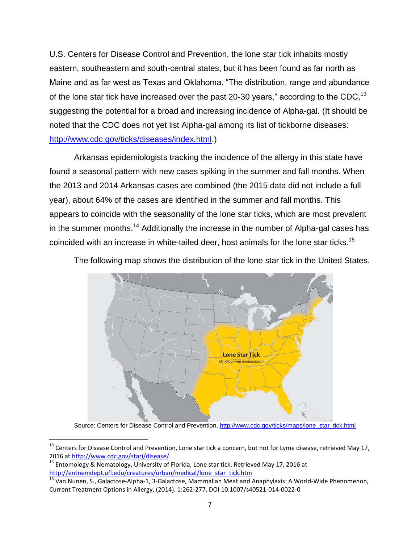U.S. Centers for Disease Control and Prevention, the lone star tick inhabits mostly eastern, southeastern and south-central states, but it has been found as far north as Maine and as far west as Texas and Oklahoma. "The distribution, range and abundance of the lone star tick have increased over the past 20-30 years," according to the CDC,  $^{13}$ suggesting the potential for a broad and increasing incidence of Alpha-gal. (It should be noted that the CDC does not yet list Alpha-gal among its list of tickborne diseases: [http://www.cdc.gov/ticks/diseases/index.html.](http://www.cdc.gov/ticks/diseases/index.html))

Arkansas epidemiologists tracking the incidence of the allergy in this state have found a seasonal pattern with new cases spiking in the summer and fall months. When the 2013 and 2014 Arkansas cases are combined (the 2015 data did not include a full year), about 64% of the cases are identified in the summer and fall months. This appears to coincide with the seasonality of the lone star ticks, which are most prevalent in the summer months.<sup>14</sup> Additionally the increase in the number of Alpha-gal cases has coincided with an increase in white-tailed deer, host animals for the lone star ticks.<sup>15</sup>

> **Lone Star Tick** Amblyomma a

The following map shows the distribution of the lone star tick in the United States.

Source: Centers for Disease Control and Prevention[, http://www.cdc.gov/ticks/maps/lone\\_star\\_tick.html](http://www.cdc.gov/ticks/maps/lone_star_tick.html)

 $\overline{a}$ 

 $13$  Centers for Disease Control and Prevention, Lone star tick a concern, but not for Lyme disease, retrieved May 17, 2016 at [http://www.cdc.gov/stari/disease/.](http://www.cdc.gov/stari/disease/)

<sup>&</sup>lt;sup>14</sup> Entomology & Nematology, University of Florida, Lone star tick, Retrieved May 17, 2016 at [http://entnemdept.ufl.edu/creatures/urban/medical/lone\\_star\\_tick.htm](http://entnemdept.ufl.edu/creatures/urban/medical/lone_star_tick.htm)

 $\frac{15}{15}$  Van Nunen, S., Galactose-Alpha-1, 3-Galactose, Mammalian Meat and Anaphylaxis: A World-Wide Phenomenon, Current Treatment Options in Allergy, (2014). 1:262-277, DOI 10.1007/s40521-014-0022-0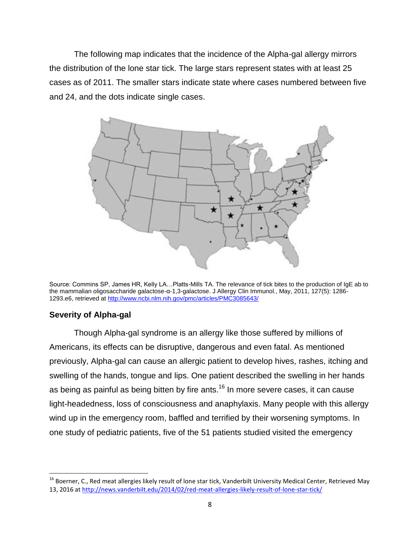The following map indicates that the incidence of the Alpha-gal allergy mirrors the distribution of the lone star tick. The large stars represent states with at least 25 cases as of 2011. The smaller stars indicate state where cases numbered between five and 24, and the dots indicate single cases.



Source: Commins SP, James HR, Kelly LA…Platts-Mills TA. The relevance of tick bites to the production of IgE ab to the mammalian oligosaccharide galactose-α-1,3-galactose. J Allergy Clin Immunol., May, 2011, 127(5): 1286- 1293.e6, retrieved at<http://www.ncbi.nlm.nih.gov/pmc/articles/PMC3085643/>

#### **Severity of Alpha-gal**

l

Though Alpha-gal syndrome is an allergy like those suffered by millions of Americans, its effects can be disruptive, dangerous and even fatal. As mentioned previously, Alpha-gal can cause an allergic patient to develop hives, rashes, itching and swelling of the hands, tongue and lips. One patient described the swelling in her hands as being as painful as being bitten by fire ants.<sup>16</sup> In more severe cases, it can cause light-headedness, loss of consciousness and anaphylaxis. Many people with this allergy wind up in the emergency room, baffled and terrified by their worsening symptoms. In one study of pediatric patients, five of the 51 patients studied visited the emergency

<sup>&</sup>lt;sup>16</sup> Boerner, C., Red meat allergies likely result of lone star tick, Vanderbilt University Medical Center, Retrieved May 13, 2016 at<http://news.vanderbilt.edu/2014/02/red-meat-allergies-likely-result-of-lone-star-tick/>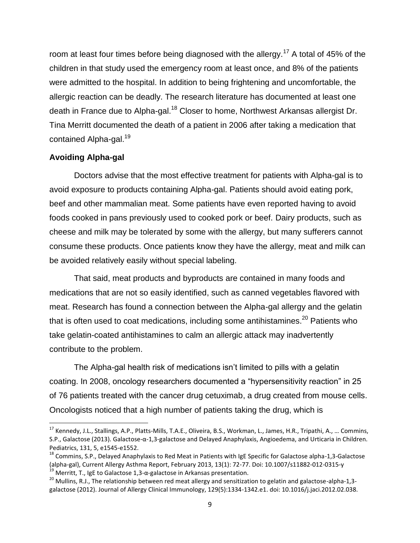room at least four times before being diagnosed with the allergy.<sup>17</sup> A total of 45% of the children in that study used the emergency room at least once, and 8% of the patients were admitted to the hospital. In addition to being frightening and uncomfortable, the allergic reaction can be deadly. The research literature has documented at least one death in France due to Alpha-gal.<sup>18</sup> Closer to home, Northwest Arkansas allergist Dr. Tina Merritt documented the death of a patient in 2006 after taking a medication that contained Alpha-gal.<sup>19</sup>

#### **Avoiding Alpha-gal**

 $\overline{\phantom{a}}$ 

Doctors advise that the most effective treatment for patients with Alpha-gal is to avoid exposure to products containing Alpha-gal. Patients should avoid eating pork, beef and other mammalian meat. Some patients have even reported having to avoid foods cooked in pans previously used to cooked pork or beef. Dairy products, such as cheese and milk may be tolerated by some with the allergy, but many sufferers cannot consume these products. Once patients know they have the allergy, meat and milk can be avoided relatively easily without special labeling.

That said, meat products and byproducts are contained in many foods and medications that are not so easily identified, such as canned vegetables flavored with meat. Research has found a connection between the Alpha-gal allergy and the gelatin that is often used to coat medications, including some antihistamines.<sup>20</sup> Patients who take gelatin-coated antihistamines to calm an allergic attack may inadvertently contribute to the problem.

The Alpha-gal health risk of medications isn't limited to pills with a gelatin coating. In 2008, oncology researchers documented a "hypersensitivity reaction" in 25 of 76 patients treated with the cancer drug cetuximab, a drug created from mouse cells. Oncologists noticed that a high number of patients taking the drug, which is

<sup>&</sup>lt;sup>17</sup> Kennedy, J.L., Stallings, A.P., Platts-Mills, T.A.E., Oliveira, B.S., Workman, L., James, H.R., Tripathi, A., ... Commins, S.P., Galactose (2013). Galactose-α-1,3-galactose and Delayed Anaphylaxis, Angioedema, and Urticaria in Children. Pediatrics, 131, 5, e1545-e1552.

<sup>&</sup>lt;sup>18</sup> Commins, S.P., Delayed Anaphylaxis to Red Meat in Patients with IgE Specific for Galactose alpha-1,3-Galactose (alpha-gal), Current Allergy Asthma Report, February 2013, 13(1): 72-77. Doi: 10.1007/s11882-012-0315-y <sup>19</sup> Merritt, T., IgE to Galactose 1,3-α-galactose in Arkansas presentation.

<sup>&</sup>lt;sup>20</sup> Mullins, R.J., The relationship between red meat allergy and sensitization to gelatin and galactose-alpha-1,3galactose (2012). Journal of Allergy Clinical Immunology, 129(5):1334-1342.e1. doi: 10.1016/j.jaci.2012.02.038.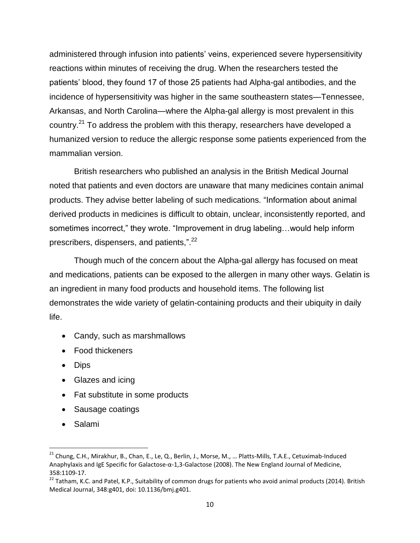administered through infusion into patients' veins, experienced severe hypersensitivity reactions within minutes of receiving the drug. When the researchers tested the patients' blood, they found 17 of those 25 patients had Alpha-gal antibodies, and the incidence of hypersensitivity was higher in the same southeastern states—Tennessee, Arkansas, and North Carolina—where the Alpha-gal allergy is most prevalent in this country.<sup>21</sup> To address the problem with this therapy, researchers have developed a humanized version to reduce the allergic response some patients experienced from the mammalian version.

British researchers who published an analysis in the British Medical Journal noted that patients and even doctors are unaware that many medicines contain animal products. They advise better labeling of such medications. "Information about animal derived products in medicines is difficult to obtain, unclear, inconsistently reported, and sometimes incorrect," they wrote. "Improvement in drug labeling...would help inform prescribers, dispensers, and patients,".<sup>22</sup>

Though much of the concern about the Alpha-gal allergy has focused on meat and medications, patients can be exposed to the allergen in many other ways. Gelatin is an ingredient in many food products and household items. The following list demonstrates the wide variety of gelatin-containing products and their ubiquity in daily life.

- Candy, such as marshmallows
- Food thickeners
- Dips
- Glazes and icing
- Fat substitute in some products
- Sausage coatings
- Salami

l

 $21$  Chung, C.H., Mirakhur, B., Chan, E., Le, Q., Berlin, J., Morse, M., ... Platts-Mills, T.A.E., Cetuximab-Induced Anaphylaxis and IgE Specific for Galactose-α-1,3-Galactose (2008). The New England Journal of Medicine, 358:1109-17.

<sup>&</sup>lt;sup>22</sup> Tatham, K.C. and Patel, K.P., Suitability of common drugs for patients who avoid animal products (2014). British Medical Journal, 348:g401, doi: 10.1136/bmj.g401.